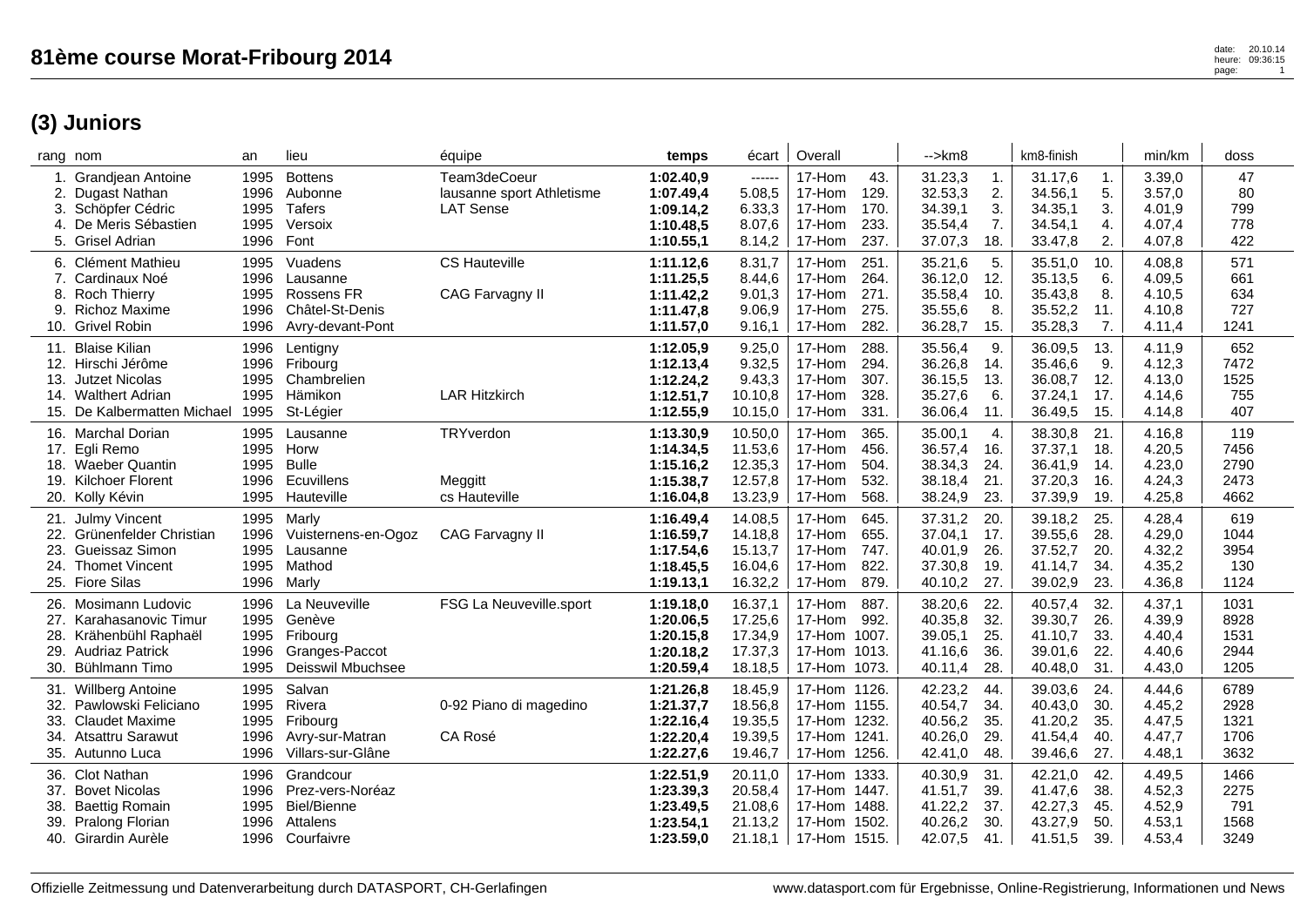**(3) Juniors**

| Grandjean Antoine<br>2.<br>Dugast Nathan<br>Schöpfer Cédric<br>De Meris Sébastien<br>4.<br>5. Grisel Adrian           | 1995<br>1996<br>1995<br>1995<br>1996 | <b>Bottens</b><br>Aubonne<br>Tafers<br>Versoix<br>Font                        | Team3deCoeur<br>lausanne sport Athletisme<br><b>LAT Sense</b> | 1:02.40,9<br>1:07.49,4<br>1:09.14,2<br>1:10.48,5<br>1:10.55,1 | ------<br>5.08,5<br>6.33,3<br>8.07,6<br>8.14,2      | 17-Hom<br>43.<br>17-Hom<br>129.<br>17-Hom<br>170.<br>233.<br>17-Hom<br>237.<br>17-Hom     | 31.23,3<br>32.53,3<br>34.39,1<br>35.54,4<br>37.07,3 | 1.<br>2.<br>3.<br>7.<br>18.     | 31.17,6<br>1.<br>5.<br>34.56,1<br>3.<br>34.35,1<br>34.54,1<br>4.<br>2.<br>33.47,8      | 3.39,0<br>3.57,0<br>4.01.9<br>4.07,4<br>4.07,8 | 47<br>80<br>799<br>778<br>422        |
|-----------------------------------------------------------------------------------------------------------------------|--------------------------------------|-------------------------------------------------------------------------------|---------------------------------------------------------------|---------------------------------------------------------------|-----------------------------------------------------|-------------------------------------------------------------------------------------------|-----------------------------------------------------|---------------------------------|----------------------------------------------------------------------------------------|------------------------------------------------|--------------------------------------|
| 6. Clément Mathieu<br>7. Cardinaux Noé<br>8. Roch Thierry<br>9. Richoz Maxime<br>10. Grivel Robin                     | 1995<br>1996<br>1995<br>1996<br>1996 | Vuadens<br>Lausanne<br>Rossens FR<br>Châtel-St-Denis<br>Avry-devant-Pont      | <b>CS Hauteville</b><br>CAG Farvagny II                       | 1:11.12,6<br>1:11.25,5<br>1:11.42,2<br>1:11.47,8<br>1:11.57,0 | 8.31,7<br>8.44,6<br>9.01,3<br>9.06,9<br>9.16,1      | 17-Hom<br>251.<br>17-Hom<br>264.<br>271.<br>17-Hom<br>275.<br>17-Hom<br>282.<br>17-Hom    | 35.21,6<br>36.12,0<br>35.58,4<br>35.55,6<br>36.28,7 | 5.<br>12.<br>10.<br>8.<br>15.   | 35.51,0<br>10.<br>35.13,5<br>6.<br>8.<br>35.43,8<br>35.52,2<br>11.<br>7.<br>35.28,3    | 4.08,8<br>4.09,5<br>4.10,5<br>4.10,8<br>4.11,4 | 571<br>661<br>634<br>727<br>1241     |
| 11. Blaise Kilian<br>12. Hirschi Jérôme<br>13. Jutzet Nicolas<br>14. Walthert Adrian<br>15. De Kalbermatten Michael   | 1996<br>1996<br>1995<br>1995<br>1995 | Lentigny<br>Fribourg<br>Chambrelien<br>Hämikon<br>St-Légier                   | <b>LAR Hitzkirch</b>                                          | 1:12.05,9<br>1:12.13,4<br>1:12.24,2<br>1:12.51.7<br>1:12.55,9 | 9.25,0<br>9.32,5<br>9.43,3<br>10.10,8<br>10.15,0    | 17-Hom<br>288.<br>17-Hom<br>294.<br>17-Hom<br>307.<br>328.<br>17-Hom<br>17-Hom<br>331.    | 35.56,4<br>36.26,8<br>36.15,5<br>35.27,6<br>36.06,4 | 9.<br>14.<br>13.<br>6.<br>11.   | 36.09,5<br>13.<br>9.<br>35.46,6<br>36.08,7<br>12.<br>17.<br>37.24,1<br>15.<br>36.49,5  | 4.11,9<br>4.12,3<br>4.13,0<br>4.14,6<br>4.14,8 | 652<br>7472<br>1525<br>755<br>407    |
| 16. Marchal Dorian<br>17. Egli Remo<br>18. Waeber Quantin<br>19. Kilchoer Florent<br>20. Kolly Kévin                  | 1995<br>1995<br>1995<br>1996<br>1995 | Lausanne<br>Horw<br><b>Bulle</b><br>Ecuvillens<br>Hauteville                  | TRYverdon<br>Meggitt<br>cs Hauteville                         | 1:13.30,9<br>1:14.34,5<br>1:15.16,2<br>1:15.38,7<br>1:16.04,8 | 10.50,0<br>11.53,6<br>12.35,3<br>12.57,8<br>13.23,9 | 17-Hom<br>365.<br>456.<br>17-Hom<br>17-Hom<br>504.<br>532.<br>17-Hom<br>17-Hom<br>568.    | 35.00,1<br>36.57,4<br>38.34,3<br>38.18,4<br>38.24,9 | 4.<br>16.<br>24.<br>21.<br>23.  | 38.30,8<br>21.<br>37.37,1<br>18.<br>36.41,9<br>14.<br>37.20,3<br>16.<br>37.39,9<br>19. | 4.16,8<br>4.20,5<br>4.23,0<br>4.24,3<br>4.25,8 | 119<br>7456<br>2790<br>2473<br>4662  |
| 21. Julmy Vincent<br>22. Grünenfelder Christian<br>23. Gueissaz Simon<br>24. Thomet Vincent<br>25. Fiore Silas        | 1995<br>1996<br>1995<br>1995<br>1996 | Marly<br>Vuisternens-en-Ogoz<br>Lausanne<br>Mathod<br>Marly                   | CAG Farvagny II                                               | 1:16.49,4<br>1:16.59,7<br>1:17.54,6<br>1:18.45,5<br>1:19.13,1 | 14.08,5<br>14.18.8<br>15.13,7<br>16.04,6<br>16.32,2 | 17-Hom<br>645.<br>17-Hom<br>655.<br>17-Hom<br>747.<br>17-Hom<br>822.<br>879.<br>17-Hom    | 37.31,2<br>37.04,1<br>40.01,9<br>37.30,8<br>40.10,2 | 20.<br>17.<br>26.<br>19.<br>27. | 39.18,2<br>25.<br>39.55,6<br>28.<br>20.<br>37.52,7<br>41.14,7<br>34.<br>23.<br>39.02,9 | 4.28,4<br>4.29,0<br>4.32,2<br>4.35,2<br>4.36,8 | 619<br>1044<br>3954<br>130<br>1124   |
| 26. Mosimann Ludovic<br>27. Karahasanovic Timur<br>28. Krähenbühl Raphaël<br>29. Audriaz Patrick<br>30. Bühlmann Timo | 1996<br>1995<br>1995<br>1996<br>1995 | La Neuveville<br>Genève<br>Fribourg<br>Granges-Paccot<br>Deisswil Mbuchsee    | FSG La Neuveville.sport                                       | 1:19.18,0<br>1:20.06,5<br>1:20.15,8<br>1:20.18,2<br>1:20.59,4 | 16.37,1<br>17.25,6<br>17.34,9<br>17.37,3<br>18.18,5 | 17-Hom<br>887.<br>17-Hom<br>992.<br>17-Hom<br>1007.<br>17-Hom<br>1013.<br>17-Hom<br>1073. | 38.20,6<br>40.35,8<br>39.05,1<br>41.16,6<br>40.11,4 | 22.<br>32.<br>25.<br>36.<br>28. | 40.57,4<br>32.<br>39.30,7<br>26.<br>41.10,7<br>33.<br>39.01,6<br>22.<br>40.48,0<br>31. | 4.37,1<br>4.39,9<br>4.40,4<br>4.40,6<br>4.43,0 | 1031<br>8928<br>1531<br>2944<br>1205 |
| 31. Willberg Antoine<br>32. Pawlowski Feliciano<br>33. Claudet Maxime<br>34. Atsattru Sarawut<br>35. Autunno Luca     | 1995<br>1995<br>1995<br>1996<br>1996 | Salvan<br>Rivera<br>Fribourg<br>Avry-sur-Matran<br>Villars-sur-Glâne          | 0-92 Piano di magedino<br>CA Rosé                             | 1:21.26.8<br>1:21.37,7<br>1:22.16,4<br>1:22.20,4<br>1:22.27,6 | 18.45,9<br>18.56,8<br>19.35,5<br>19.39,5<br>19.46,7 | 17-Hom 1126.<br>17-Hom 1155.<br>17-Hom 1232.<br>17-Hom<br>1241.<br>17-Hom 1256.           | 42.23,2<br>40.54,7<br>40.56,2<br>40.26,0<br>42.41,0 | 44.<br>34.<br>35.<br>29.<br>48. | 39.03,6<br>24.<br>30.<br>40.43,0<br>41.20,2<br>35.<br>41.54,4<br>40.<br>27.<br>39.46,6 | 4.44,6<br>4.45,2<br>4.47,5<br>4.47,7<br>4.48,1 | 6789<br>2928<br>1321<br>1706<br>3632 |
| 36. Clot Nathan<br>37. Bovet Nicolas<br><b>Baettig Romain</b><br>38.<br>39. Pralong Florian<br>40. Girardin Aurèle    | 1996<br>1996<br>1995<br>1996<br>1996 | Grandcour<br>Prez-vers-Noréaz<br><b>Biel/Bienne</b><br>Attalens<br>Courfaivre |                                                               | 1:22.51,9<br>1:23.39,3<br>1:23.49,5<br>1:23.54,1<br>1:23.59,0 | 20.11,0<br>20.58,4<br>21.08,6<br>21.13,2<br>21.18,1 | 1333.<br>17-Hom<br>17-Hom 1447.<br>17-Hom 1488.<br>17-Hom<br>1502.<br>17-Hom 1515.        | 40.30,9<br>41.51,7<br>41.22,2<br>40.26,2<br>42.07,5 | 31.<br>39.<br>37.<br>30.<br>41. | 42.21,0<br>42.<br>38.<br>41.47,6<br>42.27,3<br>45.<br>50.<br>43.27,9<br>39.<br>41.51,5 | 4.49,5<br>4.52,3<br>4.52,9<br>4.53,1<br>4.53,4 | 1466<br>2275<br>791<br>1568<br>3249  |

rang nom an lieu équipe **temps** écart | Overall | -->km8 | km8-finish | min/km | doss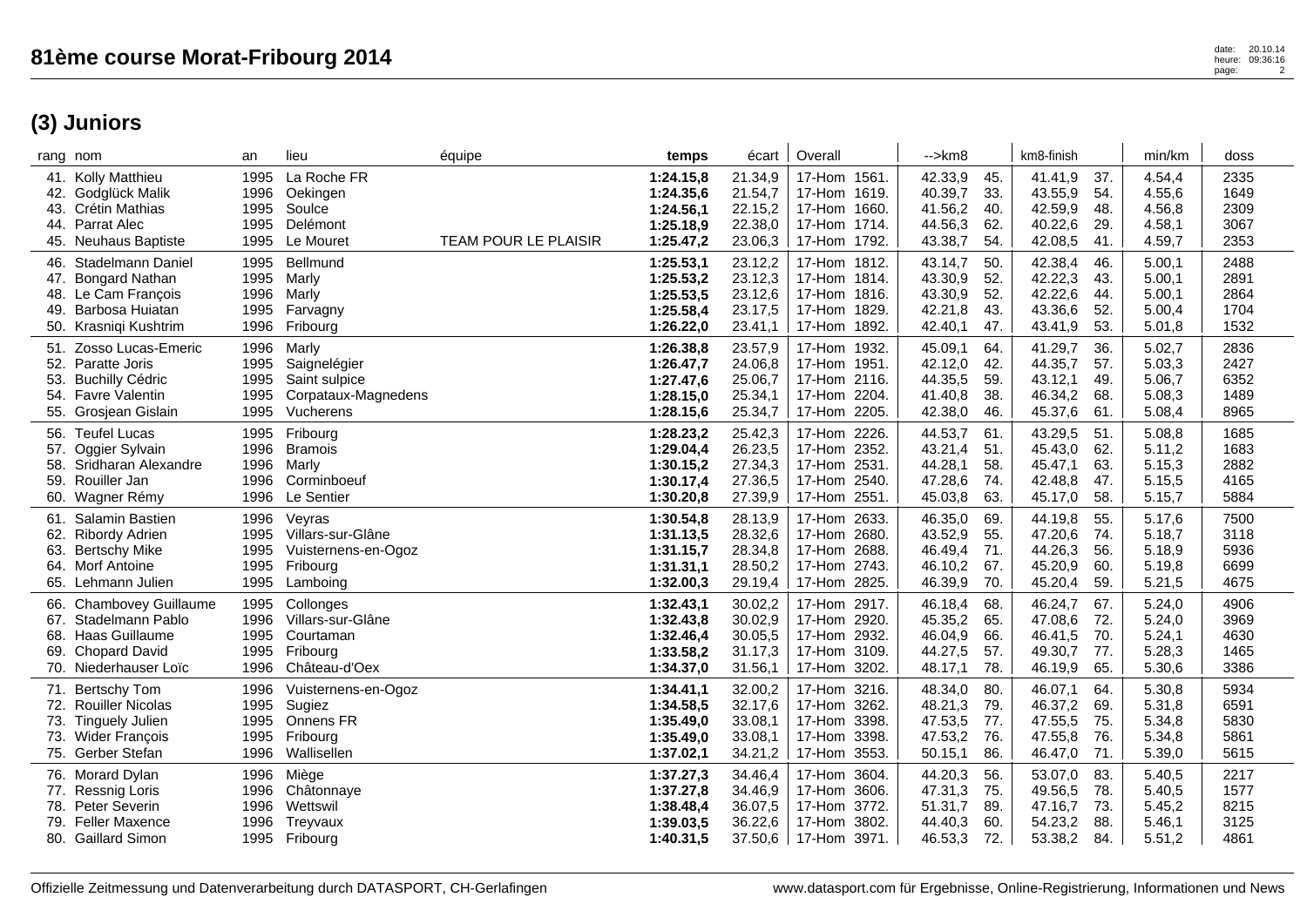## **(3) Juniors**

|            | rang nom                                 | an           | lieu                            | équipe               | temps                  | écart              | Overall                      | $\rightarrow$ km $8$ |            | km8-finish         |            | min/km           | doss         |
|------------|------------------------------------------|--------------|---------------------------------|----------------------|------------------------|--------------------|------------------------------|----------------------|------------|--------------------|------------|------------------|--------------|
|            | 41. Kolly Matthieu<br>42. Godglück Malik | 1995<br>1996 | La Roche FR<br>Oekingen         |                      | 1:24.15,8<br>1:24.35,6 | 21.34,9<br>21.54,7 | 17-Hom 1561.<br>17-Hom 1619. | 42.33,9<br>40.39,7   | 45.<br>33. | 41.41,9<br>43.55,9 | 37.<br>54. | 4.54,4<br>4.55,6 | 2335<br>1649 |
|            | 43. Crétin Mathias                       | 1995         | Soulce                          |                      | 1:24.56,1              | 22.15,2            | 17-Hom 1660.                 | 41.56,2              | 40.        | 42.59,9            | 48.        | 4.56,8           | 2309         |
|            | 44. Parrat Alec                          | 1995         | Delémont                        |                      | 1:25.18,9              | 22.38,0            | 17-Hom 1714.                 | 44.56,3              | 62.        | 40.22,6            | 29.        | 4.58,1           | 3067         |
|            | 45. Neuhaus Baptiste                     | 1995         | Le Mouret                       | TEAM POUR LE PLAISIR | 1:25.47,2              | 23.06,3            | 17-Hom 1792.                 | 43.38,7              | 54.        | 42.08,5            | 41.        | 4.59,7           | 2353         |
|            | 46. Stadelmann Daniel                    | 1995         | <b>Bellmund</b>                 |                      | 1:25.53,1              | 23.12,2            | 17-Hom 1812.                 | 43.14,7              | 50.        | 42.38,4            | 46.        | 5.00,1           | 2488         |
|            | 47. Bongard Nathan                       | 1995         | Marly                           |                      | 1:25.53,2              | 23.12,3            | 17-Hom 1814.                 | 43.30,9              | 52.        | 42.22,3            | 43.        | 5.00,1           | 2891         |
|            | 48. Le Cam Francois                      | 1996         | Marly                           |                      | 1:25.53,5              | 23.12,6            | 17-Hom 1816.                 | 43.30,9              | 52.        | 42.22,6            | 44.        | 5.00,1           | 2864         |
|            | 49. Barbosa Huiatan                      | 1995         | Farvagny                        |                      | 1:25.58,4              | 23.17,5            | 17-Hom 1829.                 | 42.21,8              | 43.        | 43.36,6            | 52.        | 5.00,4           | 1704         |
|            | 50. Krasniqi Kushtrim                    | 1996         | Fribourg                        |                      | 1:26.22,0              | 23.41,1            | 1892.<br>17-Hom              | 42.40,1              | 47.        | 43.41,9            | 53.        | 5.01,8           | 1532         |
|            | 51. Zosso Lucas-Emeric                   | 1996         | Marly                           |                      | 1:26.38,8              | 23.57,9            | 17-Hom 1932.                 | 45.09,1              | 64.        | 41.29,7            | 36.        | 5.02,7           | 2836         |
| 52.        | Paratte Joris                            | 1995         | Saignelégier                    |                      | 1:26.47,7              | 24.06,8            | 17-Hom 1951.                 | 42.12,0              | 42.        | 44.35,7            | 57.        | 5.03,3           | 2427         |
| 53.        | <b>Buchilly Cédric</b>                   | 1995         | Saint sulpice                   |                      | 1:27.47,6              | 25.06,7            | 17-Hom 2116.                 | 44.35,5              | 59.        | 43.12,1            | 49.        | 5.06,7           | 6352         |
|            | 54. Favre Valentin                       | 1995         | Corpataux-Magnedens             |                      | 1:28.15,0              | 25.34,1            | 17-Hom 2204.                 | 41.40,8              | 38.        | 46.34,2            | 68.        | 5.08,3           | 1489         |
| 55.        | Grosjean Gislain                         | 1995         | Vucherens                       |                      | 1:28.15,6              | 25.34,7            | 17-Hom 2205.                 | 42.38,0              | 46.        | 45.37,6            | 61.        | 5.08,4           | 8965         |
| 56.        | <b>Teufel Lucas</b>                      | 1995         | Fribourg                        |                      | 1:28.23,2              | 25.42,3            | 17-Hom 2226.                 | 44.53,7              | 61.        | 43.29,5            | 51.        | 5.08,8           | 1685         |
| 57.        | Oggier Sylvain                           | 1996         | <b>Bramois</b>                  |                      | 1:29.04,4              | 26.23,5            | 17-Hom 2352.                 | 43.21,4              | 51.        | 45.43,0            | 62.        | 5.11,2           | 1683         |
| 58.        | Sridharan Alexandre<br>Rouiller Jan      | 1996         | Marly                           |                      | 1:30.15,2              | 27.34,3            | 17-Hom 2531.                 | 44.28,1              | 58.        | 45.47,1            | 63.        | 5.15,3           | 2882         |
| 59.<br>60. |                                          | 1996<br>1996 | Corminboeuf<br>Le Sentier       |                      | 1:30.17,4              | 27.36,5<br>27.39,9 | 17-Hom 2540.<br>17-Hom 2551. | 47.28,6<br>45.03,8   | 74.<br>63. | 42.48,8<br>45.17,0 | 47.<br>58. | 5.15,5<br>5.15,7 | 4165<br>5884 |
|            | Wagner Rémy                              |              |                                 |                      | 1:30.20,8              |                    |                              |                      |            |                    |            |                  |              |
| 61.        | Salamin Bastien                          | 1996         | Veyras                          |                      | 1:30.54,8              | 28.13,9            | 17-Hom 2633.                 | 46.35,0              | 69.        | 44.19,8            | 55.        | 5.17,6           | 7500         |
|            | 62. Ribordy Adrien                       | 1995<br>1995 | Villars-sur-Glâne               |                      | 1:31.13,5<br>1:31.15,7 | 28.32,6<br>28.34,8 | 17-Hom 2680.<br>17-Hom 2688. | 43.52,9<br>46.49,4   | 55.<br>71. | 47.20,6<br>44.26,3 | 74.<br>56. | 5.18,7<br>5.18,9 | 3118<br>5936 |
| 63.        | <b>Bertschy Mike</b><br>64. Morf Antoine | 1995         | Vuisternens-en-Ogoz<br>Fribourg |                      | 1:31.31,1              | 28.50,2            | 17-Hom 2743.                 | 46.10,2              | 67.        | 45.20,9            | 60.        | 5.19,8           | 6699         |
|            | 65. Lehmann Julien                       | 1995         | Lamboing                        |                      | 1:32.00,3              | 29.19,4            | 17-Hom 2825.                 | 46.39,9              | 70.        | 45.20,4            | 59.        | 5.21,5           | 4675         |
|            | Chambovey Guillaume                      | 1995         | Collonges                       |                      | 1:32.43,1              | 30.02,2            | 17-Hom 2917.                 | 46.18,4              | 68.        | 46.24,7            | 67.        | 5.24,0           | 4906         |
| 66.        | 67. Stadelmann Pablo                     | 1996         | Villars-sur-Glâne               |                      | 1:32.43,8              | 30.02,9            | 17-Hom 2920.                 | 45.35,2              | 65.        | 47.08,6            | 72.        | 5.24,0           | 3969         |
|            | 68. Haas Guillaume                       | 1995         | Courtaman                       |                      | 1:32.46,4              | 30.05,5            | 17-Hom 2932.                 | 46.04,9              | 66.        | 46.41,5            | 70.        | 5.24,1           | 4630         |
|            | 69. Chopard David                        | 1995         | Fribourg                        |                      | 1:33.58,2              | 31.17,3            | 17-Hom 3109.                 | 44.27,5              | 57.        | 49.30,7            | 77.        | 5.28,3           | 1465         |
|            | 70. Niederhauser Loïc                    | 1996         | Château-d'Oex                   |                      | 1:34.37,0              | 31.56,1            | 17-Hom 3202.                 | 48.17,1              | 78.        | 46.19,9            | 65.        | 5.30,6           | 3386         |
| 71.        | <b>Bertschy Tom</b>                      | 1996         | Vuisternens-en-Ogoz             |                      | 1:34.41,1              | 32.00,2            | 17-Hom 3216.                 | 48.34,0              | 80.        | 46.07,1            | 64.        | 5.30,8           | 5934         |
|            | 72. Rouiller Nicolas                     | 1995         | Sugiez                          |                      | 1:34.58,5              | 32.17,6            | 17-Hom 3262.                 | 48.21,3              | 79.        | 46.37,2            | 69.        | 5.31,8           | 6591         |
| 73.        | <b>Tinguely Julien</b>                   | 1995         | Onnens FR                       |                      | 1:35.49,0              | 33.08,1            | 17-Hom 3398.                 | 47.53,5              | 77.        | 47.55,5            | 75.        | 5.34,8           | 5830         |
|            | 73. Wider François                       | 1995         | Fribourg                        |                      | 1:35.49,0              | 33.08,1            | 17-Hom 3398.                 | 47.53,2              | 76.        | 47.55,8            | 76.        | 5.34,8           | 5861         |
|            | 75. Gerber Stefan                        | 1996         | Wallisellen                     |                      | 1:37.02,1              | 34.21,2            | 17-Hom 3553.                 | 50.15,1              | 86.        | 46.47,0            | 71.        | 5.39,0           | 5615         |
|            | 76. Morard Dylan                         | 1996         | Miège                           |                      | 1:37.27,3              | 34.46,4            | 17-Hom 3604.                 | 44.20,3              | 56.        | 53.07,0            | 83.        | 5.40,5           | 2217         |
|            | 77. Ressnig Loris                        | 1996         | Châtonnaye                      |                      | 1:37.27,8              | 34.46,9            | 17-Hom 3606.                 | 47.31,3              | 75.        | 49.56,5            | 78.        | 5.40,5           | 1577         |
|            | 78. Peter Severin                        | 1996         | Wettswil                        |                      | 1:38.48,4              | 36.07,5            | 17-Hom 3772.                 | 51.31,7              | 89.        | 47.16,7            | 73.        | 5.45,2           | 8215         |
| 79.        | <b>Feller Maxence</b>                    | 1996         | Treyvaux                        |                      | 1:39.03,5              | 36.22,6            | 17-Hom<br>3802.              | 44.40,3              | 60.        | 54.23,2            | 88.        | 5.46,1           | 3125         |
|            | 80. Gaillard Simon                       |              | 1995 Fribourg                   |                      | 1:40.31,5              | 37.50,6            | 17-Hom 3971.                 | 46.53,3              | 72.        | 53.38,2            | 84.        | 5.51,2           | 4861         |